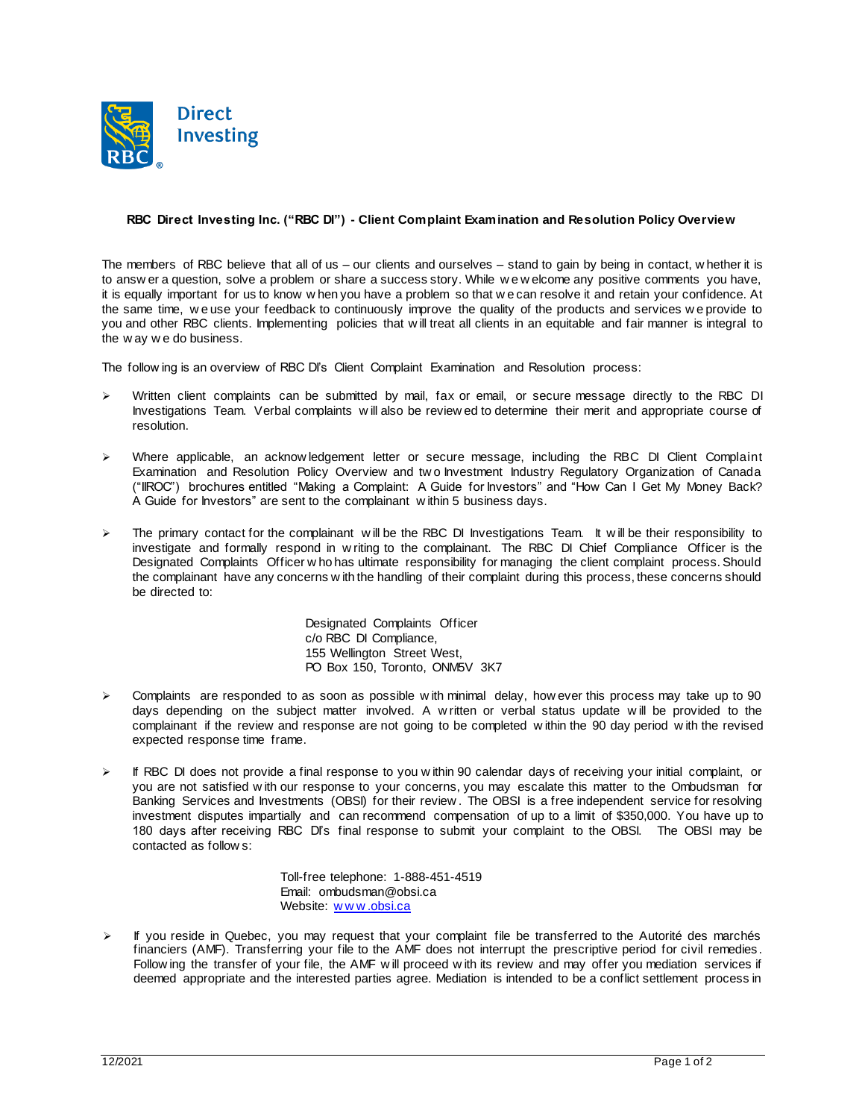

## **RBC Direct Investing Inc. ("RBC DI") - Client Complaint Examination and Resolution Policy Overview**

The members of RBC believe that all of us – our clients and ourselves – stand to gain by being in contact, w hether it is to answ er a question, solve a problem or share a success story. While w e w elcome any positive comments you have, it is equally important for us to know w hen you have a problem so that w e can resolve it and retain your confidence. At the same time, w e use your feedback to continuously improve the quality of the products and services w e provide to you and other RBC clients. Implementing policies that w ill treat all clients in an equitable and fair manner is integral to the w ay w e do business.

The follow ing is an overview of RBC DI's Client Complaint Examination and Resolution process:

- Written client complaints can be submitted by mail, fax or email, or secure message directly to the RBC DI Investigations Team. Verbal complaints w ill also be review ed to determine their merit and appropriate course of resolution.
- Where applicable, an acknow ledgement letter or secure message, including the RBC DI Client Complaint Examination and Resolution Policy Overview and tw o Investment Industry Regulatory Organization of Canada ("IIROC") brochures entitled "Making a Complaint: A Guide for Investors" and "How Can I Get My Money Back? A Guide for Investors" are sent to the complainant w ithin 5 business days.
- The primary contact for the complainant w ill be the RBC DI Investigations Team. It w ill be their responsibility to investigate and formally respond in w riting to the complainant. The RBC DI Chief Compliance Officer is the Designated Complaints Officer w ho has ultimate responsibility for managing the client complaint process. Should the complainant have any concerns w ith the handling of their complaint during this process, these concerns should be directed to:

Designated Complaints Officer c/o RBC DI Compliance, 155 Wellington Street West, PO Box 150, Toronto, ONM5V 3K7

- $\triangleright$  Complaints are responded to as soon as possible w ith minimal delay, how ever this process may take up to 90 days depending on the subject matter involved. A w ritten or verbal status update w ill be provided to the complainant if the review and response are not going to be completed w ithin the 90 day period w ith the revised expected response time frame.
- If RBC DI does not provide a final response to you w ithin 90 calendar days of receiving your initial complaint, or you are not satisfied w ith our response to your concerns, you may escalate this matter to the Ombudsman for Banking Services and Investments (OBSI) for their review . The OBSI is a free independent service for resolving investment disputes impartially and can recommend compensation of up to a limit of \$350,000. You have up to 180 days after receiving RBC DI's final response to submit your complaint to the OBSI. The OBSI may be contacted as follow s:

Toll-free telephone: 1-888-451-4519 Email: ombudsman@obsi.ca Website: www.obsi.ca

 $\triangleright$  If you reside in Quebec, you may request that your complaint file be transferred to the Autorité des marchés financiers (AMF). Transferring your file to the AMF does not interrupt the prescriptive period for civil remedies. Follow ing the transfer of your file, the AMF w ill proceed w ith its review and may offer you mediation services if deemed appropriate and the interested parties agree. Mediation is intended to be a conflict settlement process in